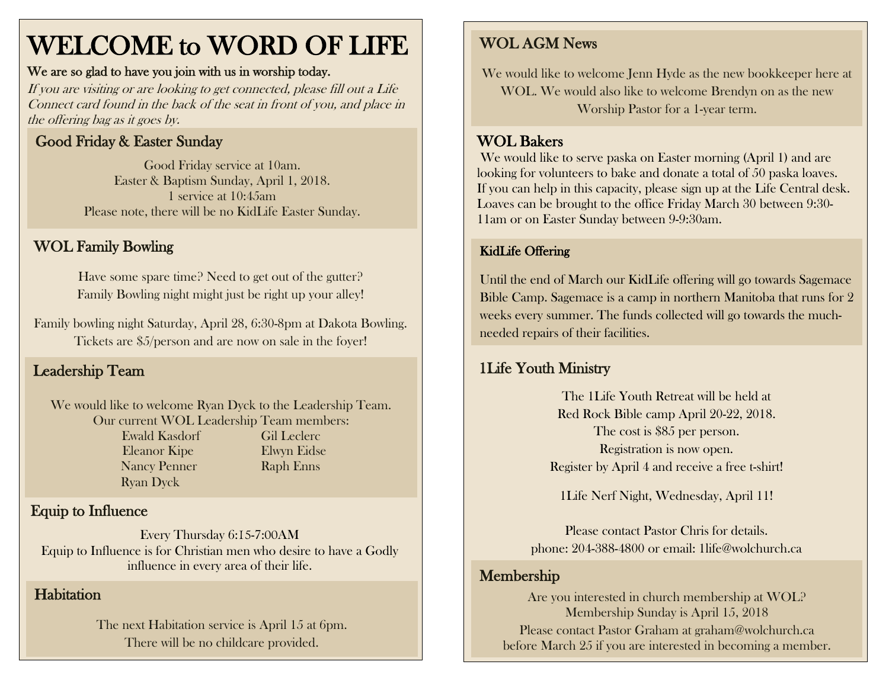# WELCOME to WORD OF LIFE

#### We are so glad to have you join with us in worship today.

If you are visiting or are looking to get connected, please fill out a Life Connect card found in the back of the seat in front of you, and place in the offering bag as it goes by.

### Good Friday & Easter Sunday

Good Friday service at 10am. Easter & Baptism Sunday, April 1, 2018. 1 service at 10:45am Please note, there will be no KidLife Easter Sunday.

## WOL Family Bowling

Have some spare time? Need to get out of the gutter? Family Bowling night might just be right up your alley!

 Family bowling night Saturday, April 28, 6:30-8pm at Dakota Bowling. Tickets are \$5/person and are now on sale in the foyer!

# Leadership Team

We would like to welcome Ryan Dyck to the Leadership Team. Our current WOL Leadership Team members: Ewald Kasdorf Gil Leclerc Eleanor Kipe Elwyn Eidse Nancy Penner Raph Enns Ryan Dyck

# Equip to Influence

Every Thursday 6:15-7:00AM Equip to Influence is for Christian men who desire to have a Godly influence in every area of their life.

#### **Habitation**

The next Habitation service is April 15 at 6pm. There will be no childcare provided.

### WOL AGM News

We would like to welcome Jenn Hyde as the new bookkeeper here at WOL. We would also like to welcome Brendyn on as the new Worship Pastor for a 1-year term.

#### WOL Bakers

 looking for volunteers to bake and donate a total of 50 paska loaves. Loaves can be brought to the office Friday March 30 between 9:30- We would like to serve paska on Easter morning (April 1) and are If you can help in this capacity, please sign up at the Life Central desk. 11am or on Easter Sunday between 9-9:30am.

#### KidLife Offering

Until the end of March our KidLife offering will go towards Sagemace Bible Camp. Sagemace is a camp in northern Manitoba that runs for 2 weeks every summer. The funds collected will go towards the muchneeded repairs of their facilities.

#### 1Life Youth Ministry

The 1Life Youth Retreat will be held at Red Rock Bible camp April 20-22, 2018. The cost is \$85 per person. Registration is now open. Register by April 4 and receive a free t-shirt!

1Life Nerf Night, Wednesday, April 11!

Please contact Pastor Chris for details. phone: 204-388-4800 or email: 1life@wolchurch.ca

#### Membership

Are you interested in church membership at WOL? Membership Sunday is April 15, 2018 Please contact Pastor Graham at [graham@wolchurch.ca](mailto:graham@wolchurch.ca) before March 25 if you are interested in becoming a member.